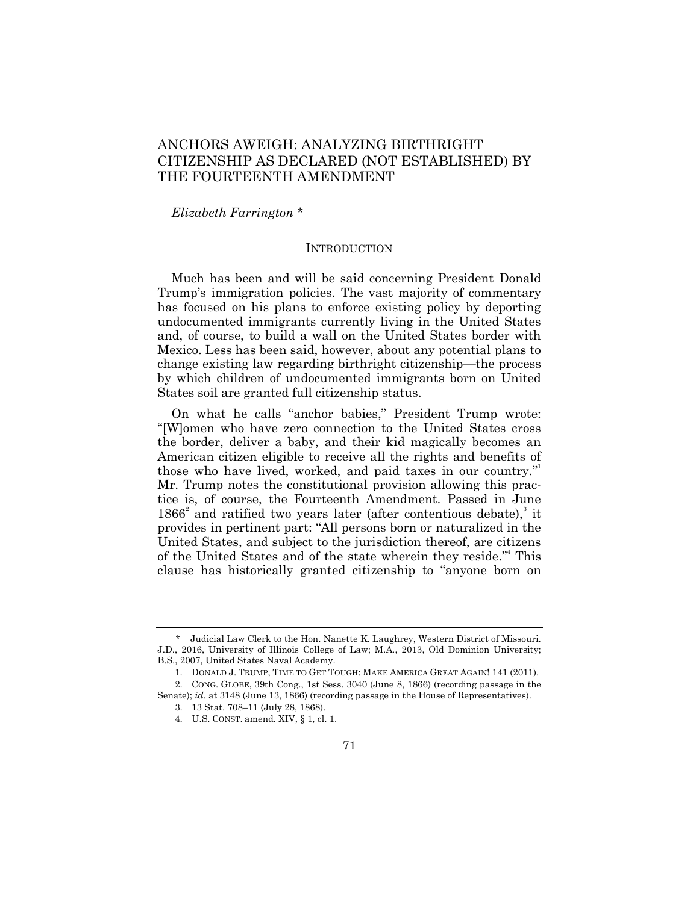# ANCHORS AWEIGH: ANALYZING BIRTHRIGHT CITIZENSHIP AS DECLARED (NOT ESTABLISHED) BY THE FOURTEENTH AMENDMENT

*Elizabeth Farrington* \*

### INTRODUCTION

Much has been and will be said concerning President Donald Trump's immigration policies. The vast majority of commentary has focused on his plans to enforce existing policy by deporting undocumented immigrants currently living in the United States and, of course, to build a wall on the United States border with Mexico. Less has been said, however, about any potential plans to change existing law regarding birthright citizenship—the process by which children of undocumented immigrants born on United States soil are granted full citizenship status.

On what he calls "anchor babies," President Trump wrote: ―[W]omen who have zero connection to the United States cross the border, deliver a baby, and their kid magically becomes an American citizen eligible to receive all the rights and benefits of those who have lived, worked, and paid taxes in our country." Mr. Trump notes the constitutional provision allowing this practice is, of course, the Fourteenth Amendment. Passed in June  $1866<sup>2</sup>$  and ratified two years later (after contentious debate),<sup>3</sup> it provides in pertinent part: "All persons born or naturalized in the United States, and subject to the jurisdiction thereof, are citizens of the United States and of the state wherein they reside."<sup>4</sup> This clause has historically granted citizenship to "anyone born on

<sup>\*</sup> Judicial Law Clerk to the Hon. Nanette K. Laughrey, Western District of Missouri. J.D., 2016, University of Illinois College of Law; M.A., 2013, Old Dominion University; B.S., 2007, United States Naval Academy.

<sup>1.</sup> DONALD J. TRUMP, TIME TO GET TOUGH: MAKE AMERICA GREAT AGAIN! 141 (2011). 2. CONG. GLOBE, 39th Cong., 1st Sess. 3040 (June 8, 1866) (recording passage in the Senate); *id.* at 3148 (June 13, 1866) (recording passage in the House of Representatives).

<sup>3.</sup> 13 Stat. 708–11 (July 28, 1868).

<sup>4.</sup> U.S. CONST. amend. XIV, § 1, cl. 1.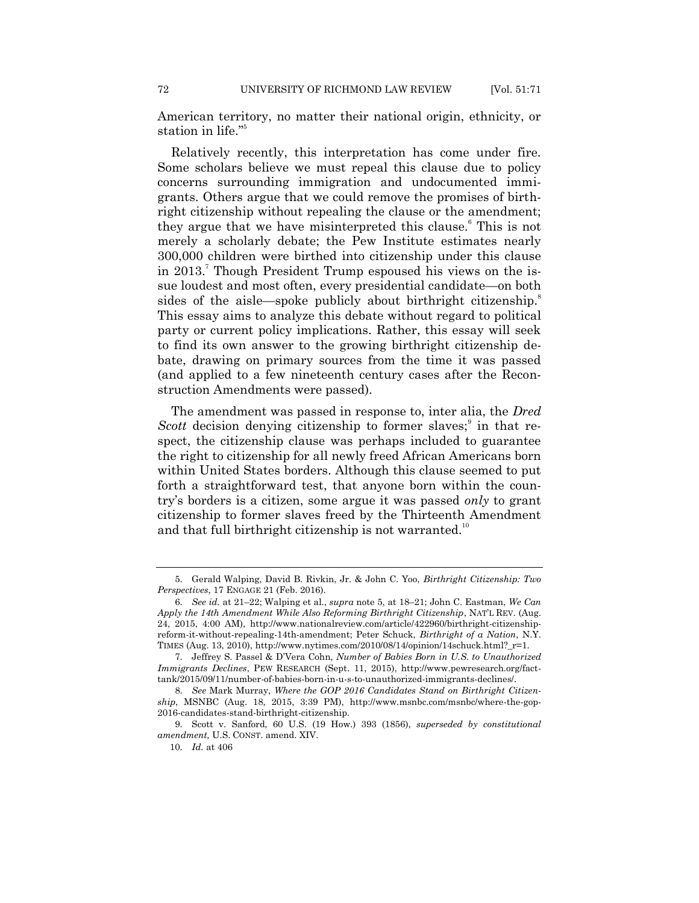72 UNIVERSITY OF RICHMOND LAW REVIEW [Vol. 51:71

American territory, no matter their national origin, ethnicity, or station in life."<sup>5</sup>

Relatively recently, this interpretation has come under fire. Some scholars believe we must repeal this clause due to policy concerns surrounding immigration and undocumented immigrants. Others argue that we could remove the promises of birthright citizenship without repealing the clause or the amendment; they argue that we have misinterpreted this clause.<sup>6</sup> This is not merely a scholarly debate; the Pew Institute estimates nearly 300,000 children were birthed into citizenship under this clause in 2013.<sup>7</sup> Though President Trump espoused his views on the issue loudest and most often, every presidential candidate—on both sides of the aisle—spoke publicly about birthright citizenship.<sup>8</sup> This essay aims to analyze this debate without regard to political party or current policy implications. Rather, this essay will seek to find its own answer to the growing birthright citizenship debate, drawing on primary sources from the time it was passed (and applied to a few nineteenth century cases after the Reconstruction Amendments were passed).

The amendment was passed in response to, inter alia, the *Dred Scott* decision denying citizenship to former slaves; $\delta$  in that respect, the citizenship clause was perhaps included to guarantee the right to citizenship for all newly freed African Americans born within United States borders. Although this clause seemed to put forth a straightforward test, that anyone born within the country's borders is a citizen, some argue it was passed *only* to grant citizenship to former slaves freed by the Thirteenth Amendment and that full birthright citizenship is not warranted.<sup>10</sup>

<sup>5.</sup> Gerald Walping, David B. Rivkin, Jr. & John C. Yoo, *Birthright Citizenship: Two Perspectives*, 17 ENGAGE 21 (Feb. 2016).

<sup>6.</sup> *See id.* at 21–22; Walping et al., *supra* note 5, at 18–21; John C. Eastman, *We Can Apply the 14th Amendment While Also Reforming Birthright Citizenship*, NAT'L REV. (Aug. 24, 2015, 4:00 AM), http://www.nationalreview.com/article/422960/birthright-citizenshipreform-it-without-repealing-14th-amendment; Peter Schuck, *Birthright of a Nation*, N.Y. TIMES (Aug. 13, 2010), http://www.nytimes.com/2010/08/14/opinion/14schuck.html? $r=1$ .

<sup>7.</sup> Jeffrey S. Passel & D'Vera Cohn, *Number of Babies Born in U.S. to Unauthorized Immigrants Declines*, PEW RESEARCH (Sept. 11, 2015), http://www.pewresearch.org/facttank/2015/09/11/number-of-babies-born-in-u-s-to-unauthorized-immigrants-declines/.

<sup>8.</sup> *See* Mark Murray, *Where the GOP 2016 Candidates Stand on Birthright Citizenship*, MSNBC (Aug. 18, 2015, 3:39 PM), http://www.msnbc.com/msnbc/where-the-gop-2016-candidates-stand-birthright-citizenship.

<sup>9.</sup> Scott v. Sanford, 60 U.S. (19 How.) 393 (1856), *superseded by constitutional amendment,* U.S. CONST. amend. XIV.

<sup>10.</sup> *Id.* at 406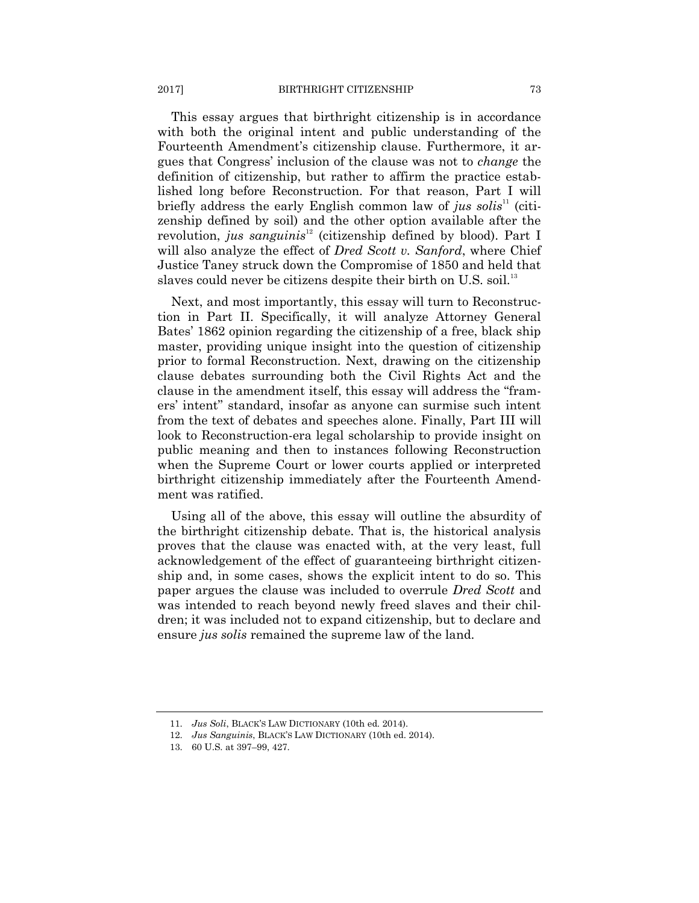#### 2017] BIRTHRIGHT CITIZENSHIP 73

This essay argues that birthright citizenship is in accordance with both the original intent and public understanding of the Fourteenth Amendment's citizenship clause. Furthermore, it argues that Congress' inclusion of the clause was not to *change* the definition of citizenship, but rather to affirm the practice established long before Reconstruction. For that reason, Part I will briefly address the early English common law of *jus solis*<sup>11</sup> (citizenship defined by soil) and the other option available after the revolution, *jus sanguinis*<sup>12</sup> (citizenship defined by blood). Part I will also analyze the effect of *Dred Scott v. Sanford*, where Chief Justice Taney struck down the Compromise of 1850 and held that slaves could never be citizens despite their birth on U.S. soil.<sup>13</sup>

Next, and most importantly, this essay will turn to Reconstruction in Part II. Specifically, it will analyze Attorney General Bates' 1862 opinion regarding the citizenship of a free, black ship master, providing unique insight into the question of citizenship prior to formal Reconstruction. Next, drawing on the citizenship clause debates surrounding both the Civil Rights Act and the clause in the amendment itself, this essay will address the "framers' intent" standard, insofar as anyone can surmise such intent from the text of debates and speeches alone. Finally, Part III will look to Reconstruction-era legal scholarship to provide insight on public meaning and then to instances following Reconstruction when the Supreme Court or lower courts applied or interpreted birthright citizenship immediately after the Fourteenth Amendment was ratified.

Using all of the above, this essay will outline the absurdity of the birthright citizenship debate. That is, the historical analysis proves that the clause was enacted with, at the very least, full acknowledgement of the effect of guaranteeing birthright citizenship and, in some cases, shows the explicit intent to do so. This paper argues the clause was included to overrule *Dred Scott* and was intended to reach beyond newly freed slaves and their children; it was included not to expand citizenship, but to declare and ensure *jus solis* remained the supreme law of the land.

<sup>11.</sup> *Jus Soli*, BLACK'S LAW DICTIONARY (10th ed. 2014).

<sup>12.</sup> *Jus Sanguinis*, BLACK'S LAW DICTIONARY (10th ed. 2014).

<sup>13.</sup> 60 U.S. at 397–99, 427.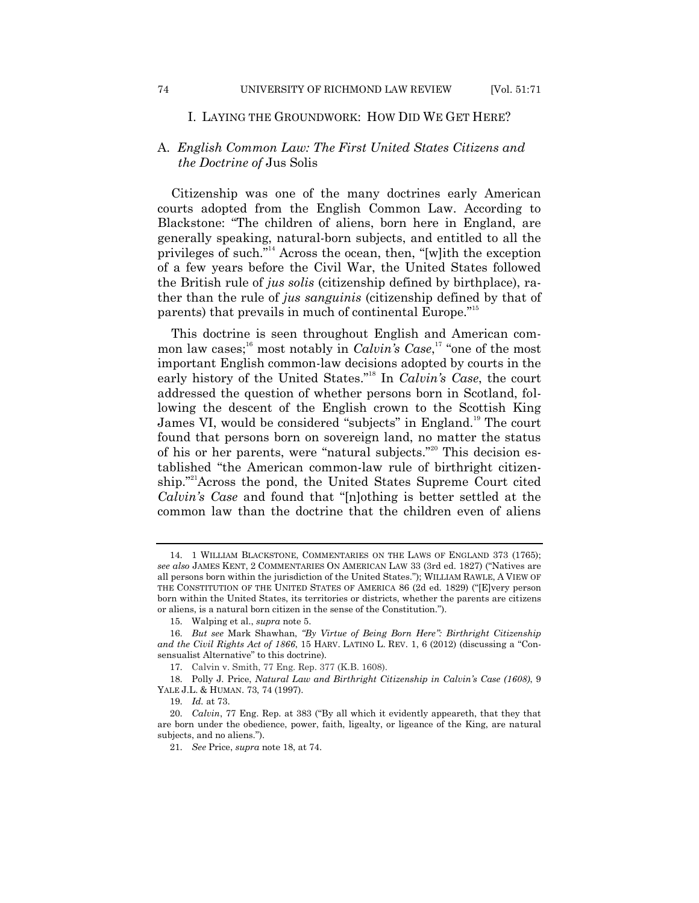### I. LAYING THE GROUNDWORK: HOW DID WE GET HERE?

### A. *English Common Law: The First United States Citizens and the Doctrine of* Jus Solis

Citizenship was one of the many doctrines early American courts adopted from the English Common Law. According to Blackstone: "The children of aliens, born here in England, are generally speaking, natural-born subjects, and entitled to all the privileges of such."<sup>14</sup> Across the ocean, then, "[w]ith the exception of a few years before the Civil War, the United States followed the British rule of *jus solis* (citizenship defined by birthplace), rather than the rule of *jus sanguinis* (citizenship defined by that of parents) that prevails in much of continental Europe."<sup>15</sup>

This doctrine is seen throughout English and American common law cases;<sup>16</sup> most notably in *Calvin's Case*,<sup>17</sup> "one of the most important English common-law decisions adopted by courts in the early history of the United States.<sup>"18</sup> In *Calvin's Case*, the court addressed the question of whether persons born in Scotland, following the descent of the English crown to the Scottish King James VI, would be considered "subjects" in England.<sup>19</sup> The court found that persons born on sovereign land, no matter the status of his or her parents, were "natural subjects."<sup>20</sup> This decision established "the American common-law rule of birthright citizenship."<sup>21</sup>Across the pond, the United States Supreme Court cited *Calvin*'s *Case* and found that "[n]othing is better settled at the common law than the doctrine that the children even of aliens

<sup>14.</sup> 1 WILLIAM BLACKSTONE, COMMENTARIES ON THE LAWS OF ENGLAND 373 (1765); *see also* JAMES KENT, 2 COMMENTARIES ON AMERICAN LAW 33 (3rd ed. 1827) ("Natives are all persons born within the jurisdiction of the United States.‖); WILLIAM RAWLE, A VIEW OF THE CONSTITUTION OF THE UNITED STATES OF AMERICA 86 (2d ed. 1829) ("[E]very person born within the United States, its territories or districts, whether the parents are citizens or aliens, is a natural born citizen in the sense of the Constitution.").

<sup>15.</sup> Walping et al., *supra* note 5.

<sup>16.</sup> *But see Mark Shawhan, "By Virtue of Being Born Here": Birthright Citizenship and the Civil Rights Act of 1866*, 15 HARV. LATINO L. REV. 1, 6 (2012) (discussing a "Consensualist Alternative" to this doctrine).

<sup>17.</sup> Calvin v. Smith, 77 Eng. Rep. 377 (K.B. 1608).

<sup>18.</sup> Polly J. Price, *Natural Law and Birthright Citizenship in Calvin's Case (1608)*, 9 YALE J.L. & HUMAN. 73, 74 (1997).

<sup>19.</sup> *Id.* at 73.

<sup>20.</sup> *Calvin*, 77 Eng. Rep. at 383 ("By all which it evidently appeareth, that they that are born under the obedience, power, faith, ligealty, or ligeance of the King, are natural subjects, and no aliens.").

<sup>21.</sup> *See* Price, *supra* note 18, at 74.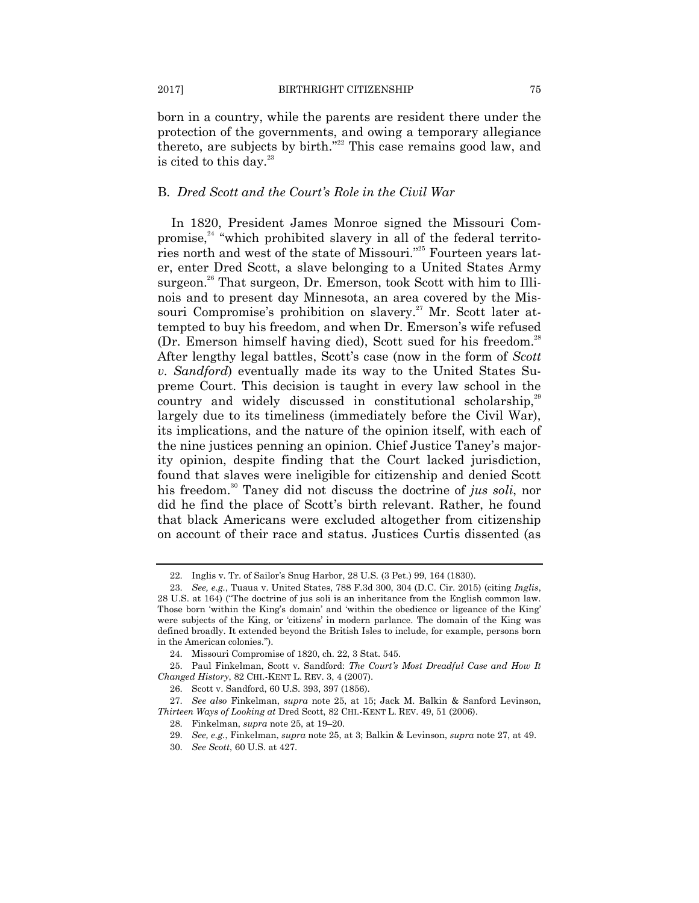born in a country, while the parents are resident there under the protection of the governments, and owing a temporary allegiance thereto, are subjects by birth."<sup>22</sup> This case remains good law, and is cited to this day. $^{23}$ 

## B. *Dred Scott and the Court's Role in the Civil War*

In 1820, President James Monroe signed the Missouri Compromise, $24$  "which prohibited slavery in all of the federal territories north and west of the state of Missouri."<sup>25</sup> Fourteen years later, enter Dred Scott, a slave belonging to a United States Army surgeon.<sup>26</sup> That surgeon, Dr. Emerson, took Scott with him to Illinois and to present day Minnesota, an area covered by the Missouri Compromise's prohibition on slavery.<sup>27</sup> Mr. Scott later attempted to buy his freedom, and when Dr. Emerson's wife refused (Dr. Emerson himself having died), Scott sued for his freedom.<sup>28</sup> After lengthy legal battles, Scott's case (now in the form of *Scott v. Sandford*) eventually made its way to the United States Supreme Court. This decision is taught in every law school in the country and widely discussed in constitutional scholarship,<sup>29</sup> largely due to its timeliness (immediately before the Civil War), its implications, and the nature of the opinion itself, with each of the nine justices penning an opinion. Chief Justice Taney's majority opinion, despite finding that the Court lacked jurisdiction, found that slaves were ineligible for citizenship and denied Scott his freedom.<sup>30</sup> Taney did not discuss the doctrine of *jus soli*, nor did he find the place of Scott's birth relevant. Rather, he found that black Americans were excluded altogether from citizenship on account of their race and status. Justices Curtis dissented (as

<sup>22.</sup> Inglis v. Tr. of Sailor's Snug Harbor, 28 U.S. (3 Pet.) 99, 164 (1830).

<sup>23.</sup> *See, e.g.*, Tuaua v. United States, 788 F.3d 300, 304 (D.C. Cir. 2015) (citing *Inglis*, 28 U.S. at 164) ("The doctrine of jus soli is an inheritance from the English common law. Those born 'within the King's domain' and 'within the obedience or ligeance of the King' were subjects of the King, or 'citizens' in modern parlance. The domain of the King was defined broadly. It extended beyond the British Isles to include, for example, persons born in the American colonies.").

<sup>24.</sup> Missouri Compromise of 1820, ch. 22, 3 Stat. 545.

<sup>25.</sup> Paul Finkelman, Scott v. Sandford: *The Court's Most Dreadful Case and How It Changed History*, 82 CHI.-KENT L. REV. 3, 4 (2007).

<sup>26.</sup> Scott v. Sandford, 60 U.S. 393, 397 (1856).

<sup>27.</sup> *See also* Finkelman, *supra* note 25, at 15; Jack M. Balkin & Sanford Levinson, *Thirteen Ways of Looking at* Dred Scott, 82 CHI.-KENT L. REV. 49, 51 (2006).

<sup>28.</sup> Finkelman, *supra* note 25, at 19–20.

<sup>29.</sup> *See, e.g.*, Finkelman, *supra* note 25, at 3; Balkin & Levinson, *supra* note 27, at 49.

<sup>30.</sup> *See Scott*, 60 U.S. at 427.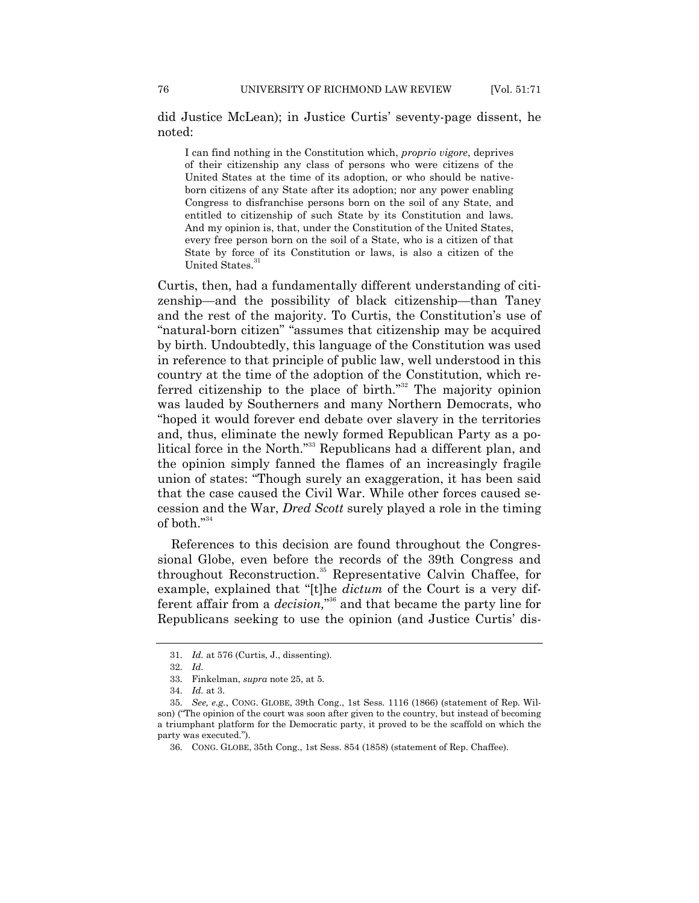did Justice McLean); in Justice Curtis' seventy-page dissent, he noted:

I can find nothing in the Constitution which, *proprio vigore*, deprives of their citizenship any class of persons who were citizens of the United States at the time of its adoption, or who should be nativeborn citizens of any State after its adoption; nor any power enabling Congress to disfranchise persons born on the soil of any State, and entitled to citizenship of such State by its Constitution and laws. And my opinion is, that, under the Constitution of the United States, every free person born on the soil of a State, who is a citizen of that State by force of its Constitution or laws, is also a citizen of the United States.

Curtis, then, had a fundamentally different understanding of citizenship—and the possibility of black citizenship—than Taney and the rest of the majority. To Curtis, the Constitution's use of "natural-born citizen" "assumes that citizenship may be acquired by birth. Undoubtedly, this language of the Constitution was used in reference to that principle of public law, well understood in this country at the time of the adoption of the Constitution, which referred citizenship to the place of birth."<sup>32</sup> The majority opinion was lauded by Southerners and many Northern Democrats, who "hoped it would forever end debate over slavery in the territories and, thus, eliminate the newly formed Republican Party as a political force in the North."<sup>33</sup> Republicans had a different plan, and the opinion simply fanned the flames of an increasingly fragile union of states: ―Though surely an exaggeration, it has been said that the case caused the Civil War. While other forces caused secession and the War, *Dred Scott* surely played a role in the timing of both." $34$ 

References to this decision are found throughout the Congressional Globe, even before the records of the 39th Congress and throughout Reconstruction.<sup>35</sup> Representative Calvin Chaffee, for example, explained that "[t]he  $\hat{dictum}$  of the Court is a very different affair from a *decision*,"<sup>36</sup> and that became the party line for Republicans seeking to use the opinion (and Justice Curtis' dis-

<sup>31.</sup> *Id.* at 576 (Curtis, J., dissenting).

<sup>32.</sup> *Id.*

<sup>33.</sup> Finkelman, *supra* note 25, at 5.

<sup>34.</sup> *Id.* at 3.

<sup>35.</sup> *See, e.g.*, CONG. GLOBE, 39th Cong., 1st Sess. 1116 (1866) (statement of Rep. Wilson) ("The opinion of the court was soon after given to the country, but instead of becoming a triumphant platform for the Democratic party, it proved to be the scaffold on which the party was executed.‖).

<sup>36.</sup> CONG. GLOBE, 35th Cong., 1st Sess. 854 (1858) (statement of Rep. Chaffee).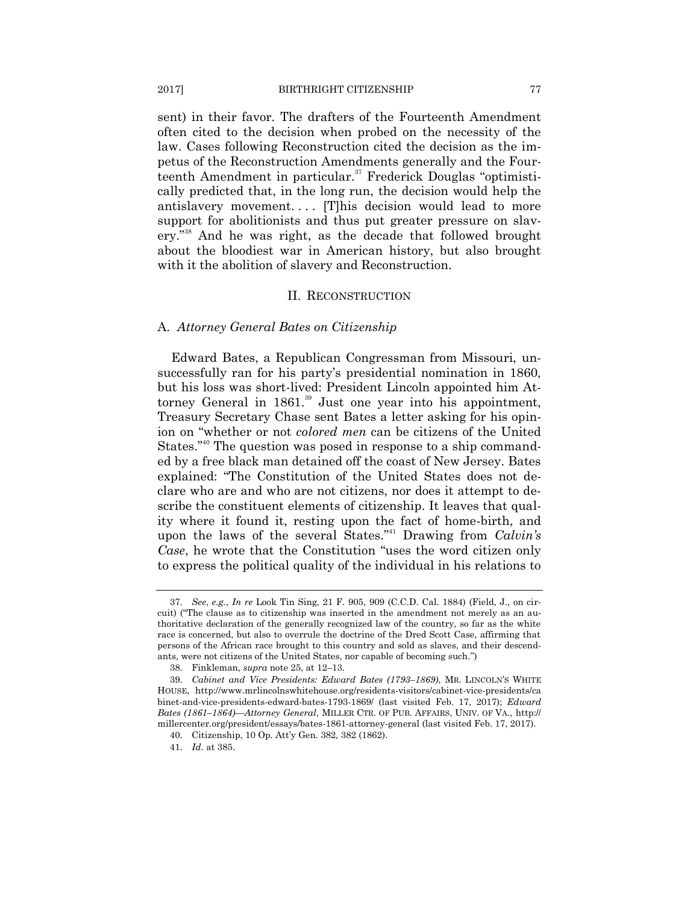sent) in their favor. The drafters of the Fourteenth Amendment often cited to the decision when probed on the necessity of the law. Cases following Reconstruction cited the decision as the impetus of the Reconstruction Amendments generally and the Fourteenth Amendment in particular.<sup>37</sup> Frederick Douglas "optimistically predicted that, in the long run, the decision would help the antislavery movement.... [T]his decision would lead to more support for abolitionists and thus put greater pressure on slavery."<sup>38</sup> And he was right, as the decade that followed brought about the bloodiest war in American history, but also brought with it the abolition of slavery and Reconstruction.

#### II. RECONSTRUCTION

#### A. *Attorney General Bates on Citizenship*

Edward Bates, a Republican Congressman from Missouri, unsuccessfully ran for his party's presidential nomination in 1860, but his loss was short-lived: President Lincoln appointed him Attorney General in  $1861$ .<sup>39</sup> Just one year into his appointment, Treasury Secretary Chase sent Bates a letter asking for his opinion on "whether or not *colored men* can be citizens of the United States.<sup>"40</sup> The question was posed in response to a ship commanded by a free black man detained off the coast of New Jersey. Bates explained: "The Constitution of the United States does not declare who are and who are not citizens, nor does it attempt to describe the constituent elements of citizenship. It leaves that quality where it found it, resting upon the fact of home-birth, and upon the laws of the several States.<sup>"41</sup> Drawing from *Calvin's Case*, he wrote that the Constitution "uses the word citizen only to express the political quality of the individual in his relations to

<sup>37.</sup> *See*, *e.g.*, *In re* Look Tin Sing, 21 F. 905, 909 (C.C.D. Cal. 1884) (Field, J., on circuit) ("The clause as to citizenship was inserted in the amendment not merely as an authoritative declaration of the generally recognized law of the country, so far as the white race is concerned, but also to overrule the doctrine of the Dred Scott Case, affirming that persons of the African race brought to this country and sold as slaves, and their descendants, were not citizens of the United States, nor capable of becoming such.")

<sup>38.</sup> Finkleman, *supra* note 25, at 12–13.

<sup>39.</sup> *Cabinet and Vice Presidents: Edward Bates (1793–1869)*, MR. LINCOLN'S WHITE HOUSE, http://www.mrlincolnswhitehouse.org/residents-visitors/cabinet-vice-presidents/ca binet-and-vice-presidents-edward-bates-1793-1869/ (last visited Feb. 17, 2017); *Edward Bates (1861–1864)—Attorney General*, MILLER CTR. OF PUB. AFFAIRS, UNIV. OF VA., http:// millercenter.org/president/essays/bates-1861-attorney-general (last visited Feb. 17, 2017).

<sup>40.</sup> Citizenship, 10 Op. Att'y Gen. 382, 382 (1862).

<sup>41.</sup> *Id*. at 385.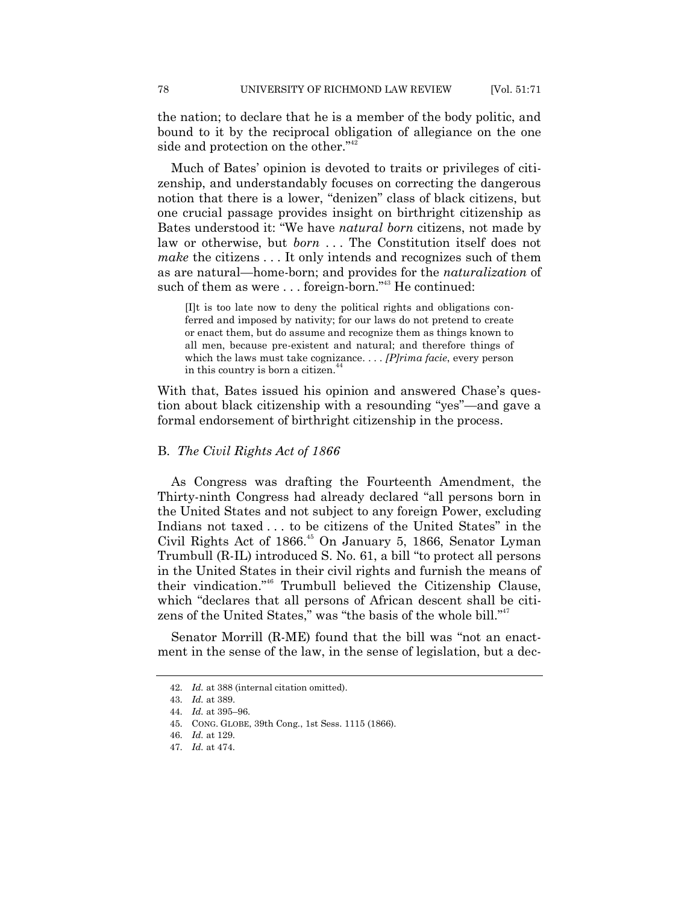the nation; to declare that he is a member of the body politic, and bound to it by the reciprocal obligation of allegiance on the one side and protection on the other."<sup>42</sup>

Much of Bates' opinion is devoted to traits or privileges of citizenship, and understandably focuses on correcting the dangerous notion that there is a lower, "denizen" class of black citizens, but one crucial passage provides insight on birthright citizenship as Bates understood it: "We have *natural born* citizens, not made by law or otherwise, but *born* . . . The Constitution itself does not *make* the citizens . . . It only intends and recognizes such of them as are natural—home-born; and provides for the *naturalization* of such of them as were ... foreign-born."<sup>43</sup> He continued:

[I]t is too late now to deny the political rights and obligations conferred and imposed by nativity; for our laws do not pretend to create or enact them, but do assume and recognize them as things known to all men, because pre-existent and natural; and therefore things of which the laws must take cognizance. . . . *[P]rima facie*, every person in this country is born a citizen.<sup>44</sup>

With that, Bates issued his opinion and answered Chase's question about black citizenship with a resounding "yes"—and gave a formal endorsement of birthright citizenship in the process.

### B. *The Civil Rights Act of 1866*

As Congress was drafting the Fourteenth Amendment, the Thirty-ninth Congress had already declared "all persons born in the United States and not subject to any foreign Power, excluding Indians not taxed . . . to be citizens of the United States" in the Civil Rights Act of 1866.<sup>45</sup> On January 5, 1866, Senator Lyman Trumbull (R-IL) introduced S. No. 61, a bill "to protect all persons in the United States in their civil rights and furnish the means of their vindication."<sup>46</sup> Trumbull believed the Citizenship Clause, which "declares that all persons of African descent shall be citizens of the United States," was "the basis of the whole bill."<sup>47</sup>

Senator Morrill (R-ME) found that the bill was "not an enactment in the sense of the law, in the sense of legislation, but a dec-

<sup>42.</sup> *Id.* at 388 (internal citation omitted).

<sup>43.</sup> *Id.* at 389.

<sup>44.</sup> *Id.* at 395–96.

<sup>45.</sup> CONG. GLOBE, 39th Cong., 1st Sess. 1115 (1866).

<sup>46.</sup> *Id.* at 129.

<sup>47.</sup> *Id.* at 474.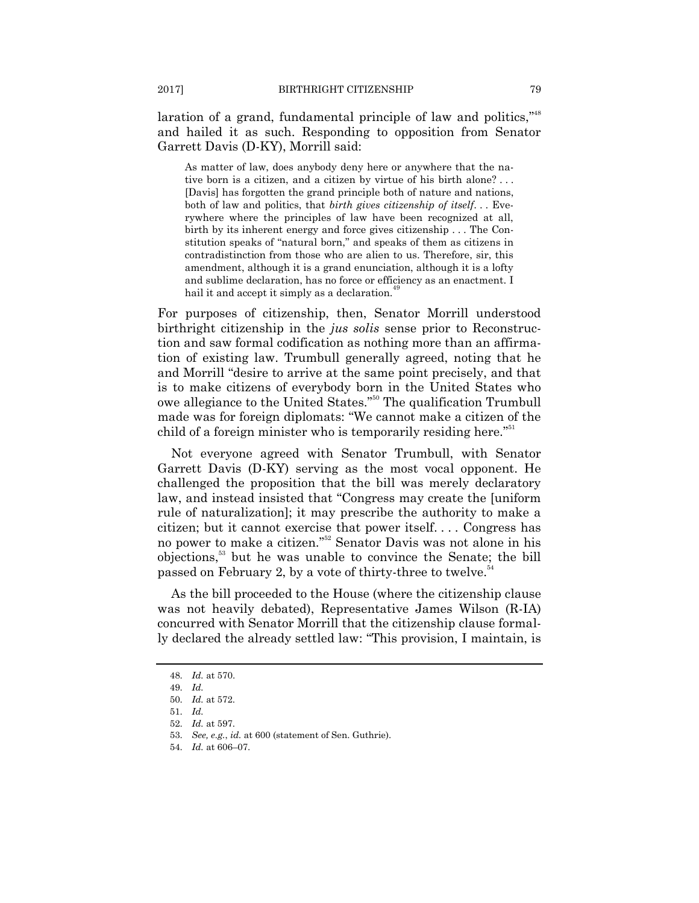laration of a grand, fundamental principle of law and politics,"<sup>48</sup> and hailed it as such. Responding to opposition from Senator Garrett Davis (D-KY), Morrill said:

As matter of law, does anybody deny here or anywhere that the native born is a citizen, and a citizen by virtue of his birth alone? . . . [Davis] has forgotten the grand principle both of nature and nations, both of law and politics, that *birth gives citizenship of itself*. . . Everywhere where the principles of law have been recognized at all, birth by its inherent energy and force gives citizenship . . . The Constitution speaks of "natural born," and speaks of them as citizens in contradistinction from those who are alien to us. Therefore, sir, this amendment, although it is a grand enunciation, although it is a lofty and sublime declaration, has no force or efficiency as an enactment. I hail it and accept it simply as a declaration.<sup>4</sup>

For purposes of citizenship, then, Senator Morrill understood birthright citizenship in the *jus solis* sense prior to Reconstruction and saw formal codification as nothing more than an affirmation of existing law. Trumbull generally agreed, noting that he and Morrill "desire to arrive at the same point precisely, and that is to make citizens of everybody born in the United States who owe allegiance to the United States."<sup>50</sup> The qualification Trumbull made was for foreign diplomats: "We cannot make a citizen of the child of a foreign minister who is temporarily residing here."<sup>51</sup>

Not everyone agreed with Senator Trumbull, with Senator Garrett Davis (D-KY) serving as the most vocal opponent. He challenged the proposition that the bill was merely declaratory law, and instead insisted that "Congress may create the [uniform] rule of naturalization]; it may prescribe the authority to make a citizen; but it cannot exercise that power itself. . . . Congress has no power to make a citizen."<sup>52</sup> Senator Davis was not alone in his objections,<sup>53</sup> but he was unable to convince the Senate; the bill passed on February 2, by a vote of thirty-three to twelve.<sup>54</sup>

As the bill proceeded to the House (where the citizenship clause was not heavily debated), Representative James Wilson (R-IA) concurred with Senator Morrill that the citizenship clause formally declared the already settled law: "This provision, I maintain, is

<sup>48.</sup> *Id.* at 570.

<sup>49.</sup> *Id.*

<sup>50.</sup> *Id.* at 572.

<sup>51.</sup> *Id.*

<sup>52.</sup> *Id.* at 597.

<sup>53.</sup> *See, e.g.*, *id.* at 600 (statement of Sen. Guthrie).

<sup>54.</sup> *Id.* at 606–07.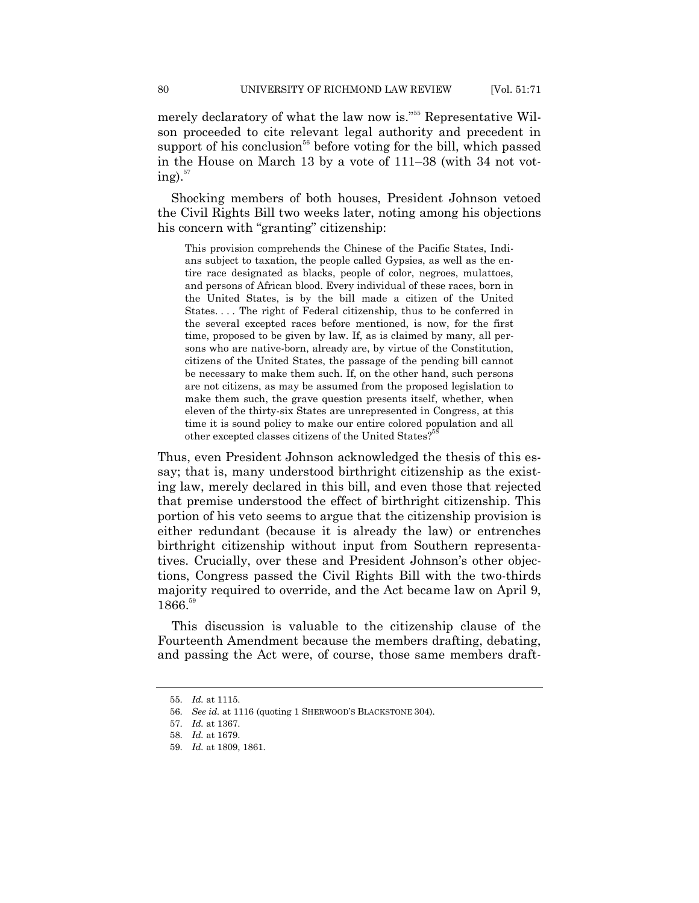merely declaratory of what the law now is."<sup>55</sup> Representative Wilson proceeded to cite relevant legal authority and precedent in support of his conclusion<sup>56</sup> before voting for the bill, which passed in the House on March 13 by a vote of 111–38 (with 34 not voting). $57$ 

Shocking members of both houses, President Johnson vetoed the Civil Rights Bill two weeks later, noting among his objections his concern with "granting" citizenship:

This provision comprehends the Chinese of the Pacific States, Indians subject to taxation, the people called Gypsies, as well as the entire race designated as blacks, people of color, negroes, mulattoes, and persons of African blood. Every individual of these races, born in the United States, is by the bill made a citizen of the United States. . . . The right of Federal citizenship, thus to be conferred in the several excepted races before mentioned, is now, for the first time, proposed to be given by law. If, as is claimed by many, all persons who are native-born, already are, by virtue of the Constitution, citizens of the United States, the passage of the pending bill cannot be necessary to make them such. If, on the other hand, such persons are not citizens, as may be assumed from the proposed legislation to make them such, the grave question presents itself, whether, when eleven of the thirty-six States are unrepresented in Congress, at this time it is sound policy to make our entire colored population and all other excepted classes citizens of the United States? 58

Thus, even President Johnson acknowledged the thesis of this essay; that is, many understood birthright citizenship as the existing law, merely declared in this bill, and even those that rejected that premise understood the effect of birthright citizenship. This portion of his veto seems to argue that the citizenship provision is either redundant (because it is already the law) or entrenches birthright citizenship without input from Southern representatives. Crucially, over these and President Johnson's other objections, Congress passed the Civil Rights Bill with the two-thirds majority required to override, and the Act became law on April 9, 1866.<sup>59</sup>

This discussion is valuable to the citizenship clause of the Fourteenth Amendment because the members drafting, debating, and passing the Act were, of course, those same members draft-

<sup>55.</sup> *Id.* at 1115.

<sup>56.</sup> *See id.* at 1116 (quoting 1 SHERWOOD'S BLACKSTONE 304).

<sup>57.</sup> *Id.* at 1367.

<sup>58.</sup> *Id.* at 1679.

<sup>59.</sup> *Id.* at 1809, 1861.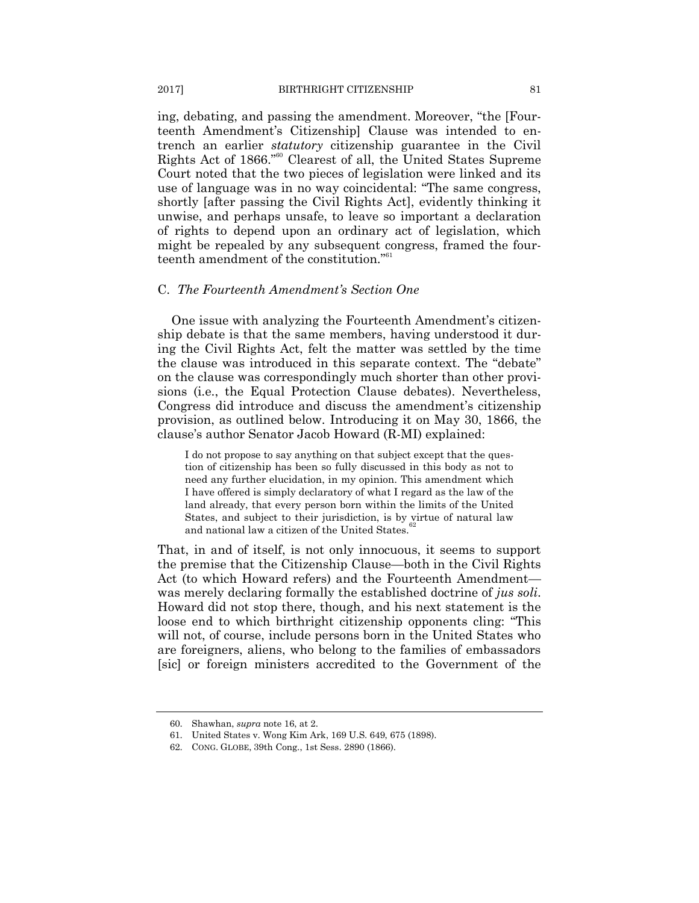ing, debating, and passing the amendment. Moreover, "the [Fourteenth Amendment's Citizenship] Clause was intended to entrench an earlier *statutory* citizenship guarantee in the Civil Rights Act of 1866."<sup>60</sup> Clearest of all, the United States Supreme Court noted that the two pieces of legislation were linked and its use of language was in no way coincidental: "The same congress, shortly [after passing the Civil Rights Act], evidently thinking it unwise, and perhaps unsafe, to leave so important a declaration of rights to depend upon an ordinary act of legislation, which might be repealed by any subsequent congress, framed the fourteenth amendment of the constitution."<sup>61</sup>

### C. *The Fourteenth Amendment's Section One*

One issue with analyzing the Fourteenth Amendment's citizenship debate is that the same members, having understood it during the Civil Rights Act, felt the matter was settled by the time the clause was introduced in this separate context. The "debate" on the clause was correspondingly much shorter than other provisions (i.e., the Equal Protection Clause debates). Nevertheless, Congress did introduce and discuss the amendment's citizenship provision, as outlined below. Introducing it on May 30, 1866, the clause's author Senator Jacob Howard (R-MI) explained:

I do not propose to say anything on that subject except that the question of citizenship has been so fully discussed in this body as not to need any further elucidation, in my opinion. This amendment which I have offered is simply declaratory of what I regard as the law of the land already, that every person born within the limits of the United States, and subject to their jurisdiction, is by virtue of natural law and national law a citizen of the United States.

That, in and of itself, is not only innocuous, it seems to support the premise that the Citizenship Clause—both in the Civil Rights Act (to which Howard refers) and the Fourteenth Amendment was merely declaring formally the established doctrine of *jus soli*. Howard did not stop there, though, and his next statement is the loose end to which birthright citizenship opponents cling: "This will not, of course, include persons born in the United States who are foreigners, aliens, who belong to the families of embassadors [sic] or foreign ministers accredited to the Government of the

<sup>60.</sup> Shawhan, *supra* note 16, at 2.

<sup>61.</sup> United States v. Wong Kim Ark, 169 U.S. 649, 675 (1898).

<sup>62.</sup> CONG. GLOBE, 39th Cong., 1st Sess. 2890 (1866).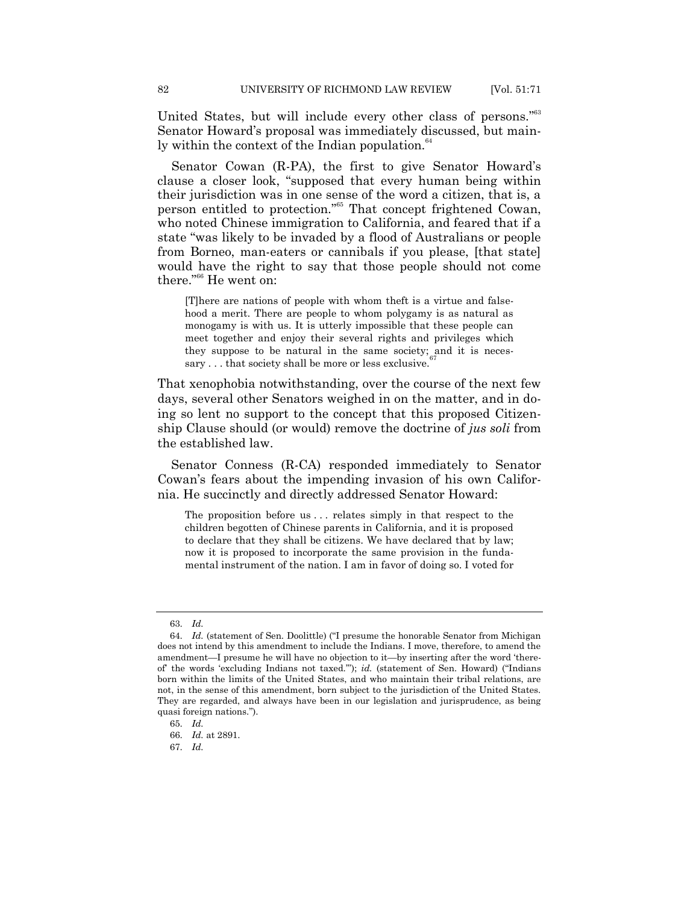United States, but will include every other class of persons."<sup>63</sup> Senator Howard's proposal was immediately discussed, but mainly within the context of the Indian population.<sup>64</sup>

Senator Cowan (R-PA), the first to give Senator Howard's clause a closer look, "supposed that every human being within their jurisdiction was in one sense of the word a citizen, that is, a person entitled to protection."<sup>55</sup> That concept frightened Cowan, who noted Chinese immigration to California, and feared that if a state "was likely to be invaded by a flood of Australians or people from Borneo, man-eaters or cannibals if you please, [that state] would have the right to say that those people should not come there."<sup>66</sup> He went on:

[T]here are nations of people with whom theft is a virtue and falsehood a merit. There are people to whom polygamy is as natural as monogamy is with us. It is utterly impossible that these people can meet together and enjoy their several rights and privileges which they suppose to be natural in the same society; and it is necessary . . . that society shall be more or less exclusive.

That xenophobia notwithstanding, over the course of the next few days, several other Senators weighed in on the matter, and in doing so lent no support to the concept that this proposed Citizenship Clause should (or would) remove the doctrine of *jus soli* from the established law.

Senator Conness (R-CA) responded immediately to Senator Cowan's fears about the impending invasion of his own California. He succinctly and directly addressed Senator Howard:

The proposition before us . . . relates simply in that respect to the children begotten of Chinese parents in California, and it is proposed to declare that they shall be citizens. We have declared that by law; now it is proposed to incorporate the same provision in the fundamental instrument of the nation. I am in favor of doing so. I voted for

<sup>63.</sup> *Id.*

<sup>64.</sup> *Id.* (statement of Sen. Doolittle) ("I presume the honorable Senator from Michigan does not intend by this amendment to include the Indians. I move, therefore, to amend the amendment—I presume he will have no objection to it—by inserting after the word 'thereof the words 'excluding Indians not taxed."); *id.* (statement of Sen. Howard) ("Indians born within the limits of the United States, and who maintain their tribal relations, are not, in the sense of this amendment, born subject to the jurisdiction of the United States. They are regarded, and always have been in our legislation and jurisprudence, as being quasi foreign nations.").

<sup>65.</sup> *Id.*

<sup>66.</sup> *Id.* at 2891.

<sup>67.</sup> *Id.*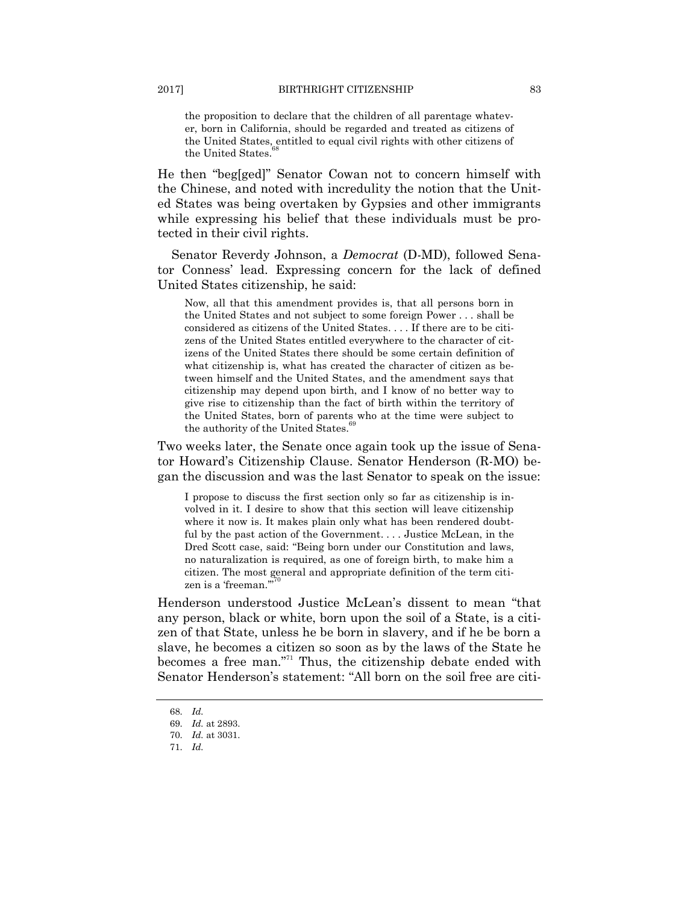the proposition to declare that the children of all parentage whatever, born in California, should be regarded and treated as citizens of the United States, entitled to equal civil rights with other citizens of the United States.

He then "beg[ged]" Senator Cowan not to concern himself with the Chinese, and noted with incredulity the notion that the United States was being overtaken by Gypsies and other immigrants while expressing his belief that these individuals must be protected in their civil rights.

Senator Reverdy Johnson, a *Democrat* (D-MD), followed Senator Conness' lead. Expressing concern for the lack of defined United States citizenship, he said:

Now, all that this amendment provides is, that all persons born in the United States and not subject to some foreign Power . . . shall be considered as citizens of the United States. . . . If there are to be citizens of the United States entitled everywhere to the character of citizens of the United States there should be some certain definition of what citizenship is, what has created the character of citizen as between himself and the United States, and the amendment says that citizenship may depend upon birth, and I know of no better way to give rise to citizenship than the fact of birth within the territory of the United States, born of parents who at the time were subject to the authority of the United States.<sup>4</sup>

Two weeks later, the Senate once again took up the issue of Senator Howard's Citizenship Clause. Senator Henderson (R-MO) began the discussion and was the last Senator to speak on the issue:

I propose to discuss the first section only so far as citizenship is involved in it. I desire to show that this section will leave citizenship where it now is. It makes plain only what has been rendered doubtful by the past action of the Government. . . . Justice McLean, in the Dred Scott case, said: "Being born under our Constitution and laws, no naturalization is required, as one of foreign birth, to make him a citizen. The most general and appropriate definition of the term citizen is a 'freeman."70

Henderson understood Justice McLean's dissent to mean "that any person, black or white, born upon the soil of a State, is a citizen of that State, unless he be born in slavery, and if he be born a slave, he becomes a citizen so soon as by the laws of the State he becomes a free man."<sup>71</sup> Thus, the citizenship debate ended with Senator Henderson's statement: "All born on the soil free are citi-

<sup>68.</sup> *Id.*

<sup>69.</sup> *Id.* at 2893.

<sup>70.</sup> *Id.* at 3031.

<sup>71.</sup> *Id.*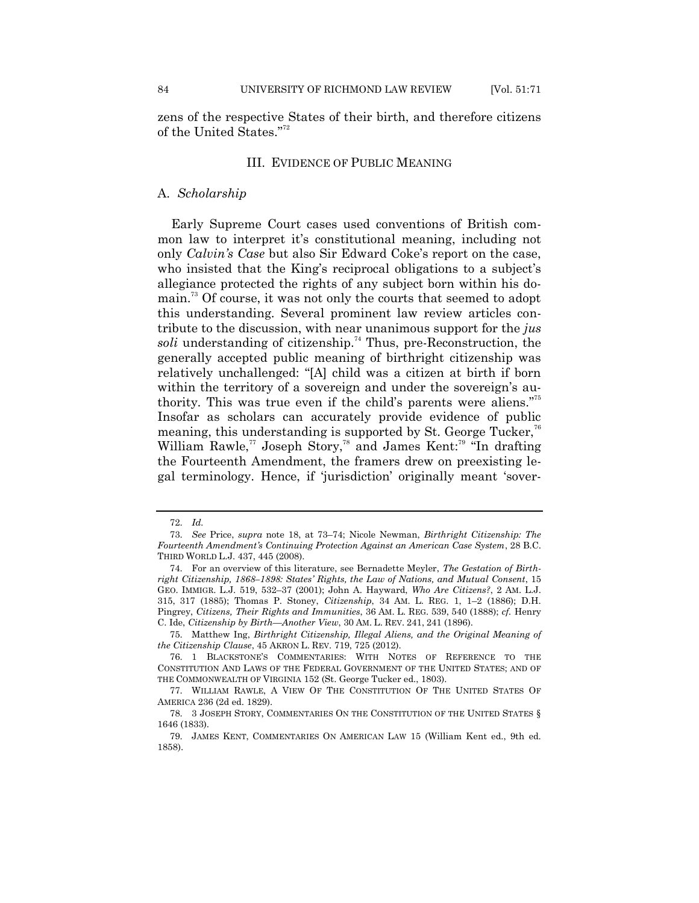zens of the respective States of their birth, and therefore citizens of the United States."<sup>72</sup>

### III. EVIDENCE OF PUBLIC MEANING

### A. *Scholarship*

Early Supreme Court cases used conventions of British common law to interpret it's constitutional meaning, including not only *Calvin's Case* but also Sir Edward Coke's report on the case, who insisted that the King's reciprocal obligations to a subject's allegiance protected the rights of any subject born within his domain.<sup>73</sup> Of course, it was not only the courts that seemed to adopt this understanding. Several prominent law review articles contribute to the discussion, with near unanimous support for the *jus*  soli understanding of citizenship.<sup>74</sup> Thus, pre-Reconstruction, the generally accepted public meaning of birthright citizenship was relatively unchallenged: "[A] child was a citizen at birth if born within the territory of a sovereign and under the sovereign's authority. This was true even if the child's parents were aliens."<sup>75</sup> Insofar as scholars can accurately provide evidence of public meaning, this understanding is supported by St. George Tucker,<sup>76</sup> William Rawle,<sup>77</sup> Joseph Story,<sup>78</sup> and James Kent:<sup>79</sup> "In drafting the Fourteenth Amendment, the framers drew on preexisting legal terminology. Hence, if 'jurisdiction' originally meant 'sover-

<sup>72.</sup> *Id.*

<sup>73.</sup> *See* Price, *supra* note 18, at 73–74; Nicole Newman, *Birthright Citizenship: The Fourteenth Amendment's Continuing Protection Against an American Case System*, 28 B.C. THIRD WORLD L.J. 437, 445 (2008).

<sup>74.</sup> For an overview of this literature, see Bernadette Meyler, *The Gestation of Birthright Citizenship, 1868–1898: States' Rights, the Law of Nations, and Mutual Consent*, 15 GEO. IMMIGR. L.J. 519, 532–37 (2001); John A. Hayward, *Who Are Citizens?*, 2 AM. L.J. 315, 317 (1885); Thomas P. Stoney, *Citizenship*, 34 AM. L. REG. 1, 1–2 (1886); D.H. Pingrey, *Citizens, Their Rights and Immunities*, 36 AM. L. REG. 539, 540 (1888); *cf.* Henry C. Ide, *Citizenship by Birth—Another View*, 30 AM. L. REV. 241, 241 (1896).

<sup>75.</sup> Matthew Ing, *Birthright Citizenship, Illegal Aliens, and the Original Meaning of the Citizenship Clause*, 45 AKRON L. REV. 719, 725 (2012).

<sup>76.</sup> 1 BLACKSTONE'S COMMENTARIES: WITH NOTES OF REFERENCE TO THE CONSTITUTION AND LAWS OF THE FEDERAL GOVERNMENT OF THE UNITED STATES; AND OF THE COMMONWEALTH OF VIRGINIA 152 (St. George Tucker ed., 1803).

<sup>77.</sup> WILLIAM RAWLE, A VIEW OF THE CONSTITUTION OF THE UNITED STATES OF AMERICA 236 (2d ed. 1829).

<sup>78.</sup> 3 JOSEPH STORY, COMMENTARIES ON THE CONSTITUTION OF THE UNITED STATES § 1646 (1833).

<sup>79.</sup> JAMES KENT, COMMENTARIES ON AMERICAN LAW 15 (William Kent ed., 9th ed. 1858).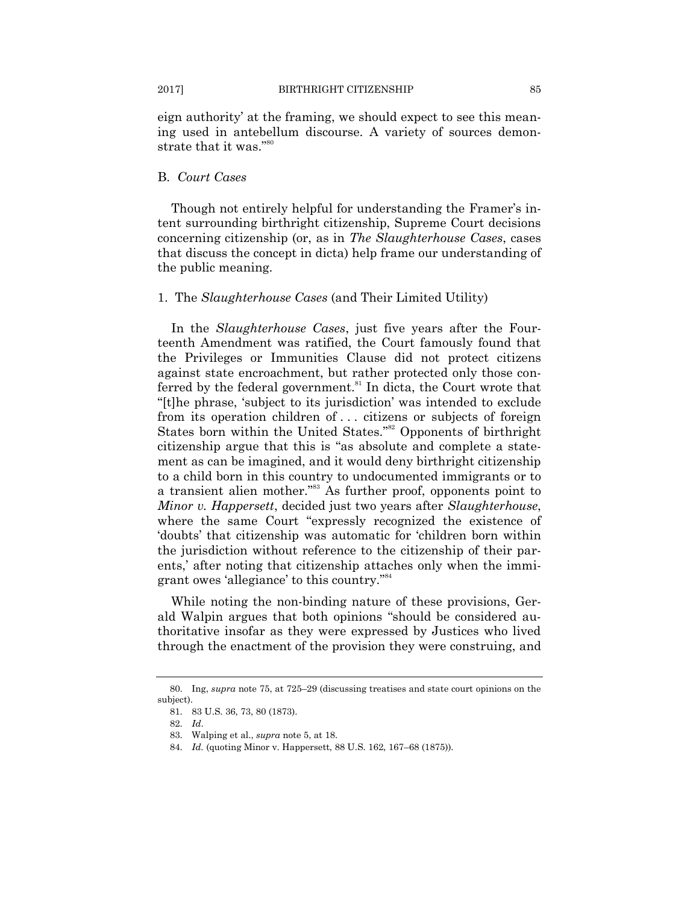eign authority' at the framing, we should expect to see this meaning used in antebellum discourse. A variety of sources demonstrate that it was."<sup>80</sup>

### B. *Court Cases*

Though not entirely helpful for understanding the Framer's intent surrounding birthright citizenship, Supreme Court decisions concerning citizenship (or, as in *The Slaughterhouse Cases*, cases that discuss the concept in dicta) help frame our understanding of the public meaning.

#### 1. The *Slaughterhouse Cases* (and Their Limited Utility)

In the *Slaughterhouse Cases*, just five years after the Fourteenth Amendment was ratified, the Court famously found that the Privileges or Immunities Clause did not protect citizens against state encroachment, but rather protected only those conferred by the federal government. $\delta$ <sup>81</sup> In dicta, the Court wrote that ―[t]he phrase, ‗subject to its jurisdiction' was intended to exclude from its operation children of . . . citizens or subjects of foreign States born within the United States."<sup>82</sup> Opponents of birthright citizenship argue that this is "as absolute and complete a statement as can be imagined, and it would deny birthright citizenship to a child born in this country to undocumented immigrants or to a transient alien mother.<sup>383</sup> As further proof, opponents point to *Minor v. Happersett*, decided just two years after *Slaughterhouse*, where the same Court "expressly recognized the existence of ‗doubts' that citizenship was automatic for ‗children born within the jurisdiction without reference to the citizenship of their parents,' after noting that citizenship attaches only when the immigrant owes 'allegiance' to this country."<sup>84</sup>

While noting the non-binding nature of these provisions, Gerald Walpin argues that both opinions "should be considered authoritative insofar as they were expressed by Justices who lived through the enactment of the provision they were construing, and

<sup>80.</sup> Ing, *supra* note 75, at 725–29 (discussing treatises and state court opinions on the subject).

<sup>81.</sup> 83 U.S. 36, 73, 80 (1873).

<sup>82.</sup> *Id*.

<sup>83.</sup> Walping et al., *supra* note 5, at 18.

<sup>84.</sup> *Id.* (quoting Minor v. Happersett, 88 U.S. 162, 167–68 (1875)).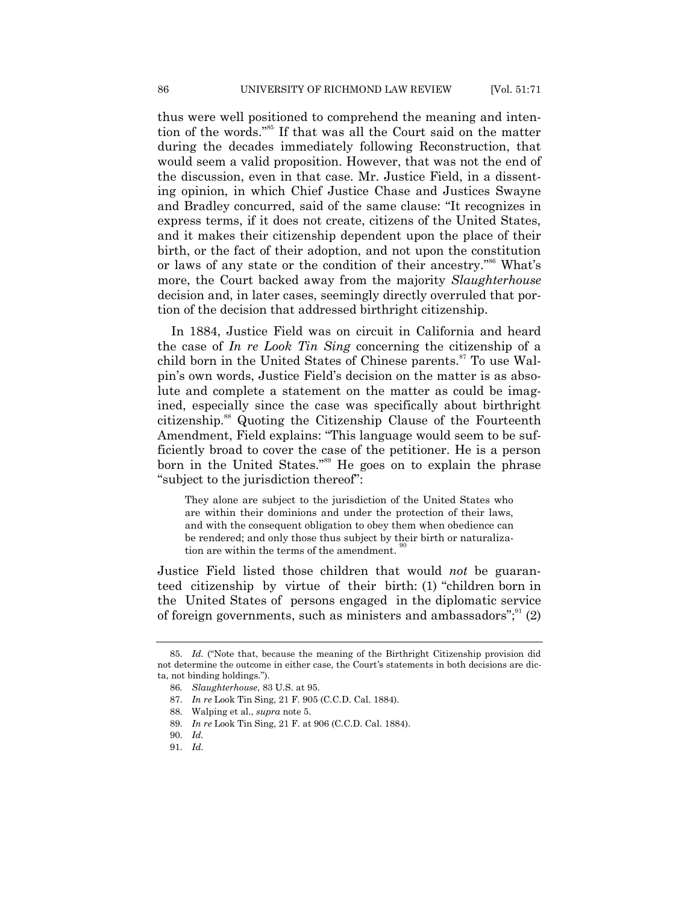thus were well positioned to comprehend the meaning and intention of the words."<sup>55</sup> If that was all the Court said on the matter during the decades immediately following Reconstruction, that would seem a valid proposition. However, that was not the end of the discussion, even in that case. Mr. Justice Field, in a dissenting opinion, in which Chief Justice Chase and Justices Swayne and Bradley concurred, said of the same clause: "It recognizes in express terms, if it does not create, citizens of the United States, and it makes their citizenship dependent upon the place of their birth, or the fact of their adoption, and not upon the constitution or laws of any state or the condition of their ancestry."<sup>86</sup> What's more, the Court backed away from the majority *Slaughterhouse*  decision and, in later cases, seemingly directly overruled that portion of the decision that addressed birthright citizenship.

In 1884, Justice Field was on circuit in California and heard the case of *In re Look Tin Sing* concerning the citizenship of a child born in the United States of Chinese parents.<sup>87</sup> To use Walpin's own words, Justice Field's decision on the matter is as absolute and complete a statement on the matter as could be imagined, especially since the case was specifically about birthright citizenship.<sup>88</sup> Quoting the Citizenship Clause of the Fourteenth Amendment, Field explains: "This language would seem to be sufficiently broad to cover the case of the petitioner. He is a person born in the United States."<sup>89</sup> He goes on to explain the phrase "subject to the jurisdiction thereof":

They alone are subject to the jurisdiction of the United States who are within their dominions and under the protection of their laws, and with the consequent obligation to obey them when obedience can be rendered; and only those thus subject by their birth or naturalization are within the terms of the amendment. 90

Justice Field listed those children that would *not* be guaranteed citizenship by virtue of their birth: (1) "children born in the United States of persons engaged in the diplomatic service of foreign governments, such as ministers and ambassadors"; $^{91}$  (2)

<sup>85.</sup> *Id.* ("Note that, because the meaning of the Birthright Citizenship provision did not determine the outcome in either case, the Court's statements in both decisions are dicta, not binding holdings.‖).

<sup>86</sup>*. Slaughterhouse*, 83 U.S. at 95.

<sup>87.</sup> *In re* Look Tin Sing, 21 F. 905 (C.C.D. Cal. 1884).

<sup>88.</sup> Walping et al., *supra* note 5.

<sup>89.</sup> *In re* Look Tin Sing, 21 F. at 906 (C.C.D. Cal. 1884).

<sup>90.</sup> *Id.*

<sup>91.</sup> *Id.*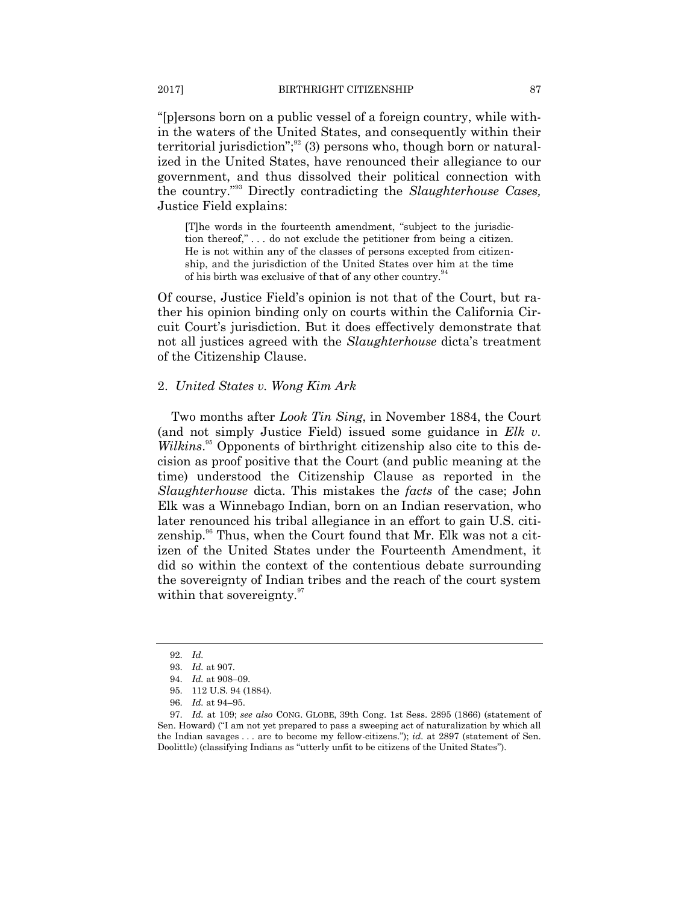―[p]ersons born on a public vessel of a foreign country, while within the waters of the United States, and consequently within their territorial jurisdiction";<sup>32</sup> (3) persons who, though born or naturalized in the United States, have renounced their allegiance to our government, and thus dissolved their political connection with the country."<sup>93</sup> Directly contradicting the *Slaughterhouse Cases*, Justice Field explains:

[T]he words in the fourteenth amendment, "subject to the jurisdiction thereof,"... do not exclude the petitioner from being a citizen. He is not within any of the classes of persons excepted from citizenship, and the jurisdiction of the United States over him at the time of his birth was exclusive of that of any other country.<sup>5</sup>

Of course, Justice Field's opinion is not that of the Court, but rather his opinion binding only on courts within the California Circuit Court's jurisdiction. But it does effectively demonstrate that not all justices agreed with the *Slaughterhouse* dicta's treatment of the Citizenship Clause.

#### 2. *United States v. Wong Kim Ark*

Two months after *Look Tin Sing*, in November 1884, the Court (and not simply Justice Field) issued some guidance in *Elk v.*  Wilkins.<sup>95</sup> Opponents of birthright citizenship also cite to this decision as proof positive that the Court (and public meaning at the time) understood the Citizenship Clause as reported in the *Slaughterhouse* dicta. This mistakes the *facts* of the case; John Elk was a Winnebago Indian, born on an Indian reservation, who later renounced his tribal allegiance in an effort to gain U.S. citizenship.<sup>96</sup> Thus, when the Court found that Mr. Elk was not a citizen of the United States under the Fourteenth Amendment, it did so within the context of the contentious debate surrounding the sovereignty of Indian tribes and the reach of the court system within that sovereignty.<sup>97</sup>

<sup>92.</sup> *Id.*

<sup>93.</sup> *Id.* at 907.

<sup>94.</sup> *Id.* at 908–09.

<sup>95.</sup> 112 U.S. 94 (1884).

<sup>96.</sup> *Id.* at 94–95.

<sup>97.</sup> *Id.* at 109; *see also* CONG. GLOBE, 39th Cong. 1st Sess. 2895 (1866) (statement of Sen. Howard) ("I am not yet prepared to pass a sweeping act of naturalization by which all the Indian savages . . . are to become my fellow-citizens."); *id.* at 2897 (statement of Sen. Doolittle) (classifying Indians as "utterly unfit to be citizens of the United States").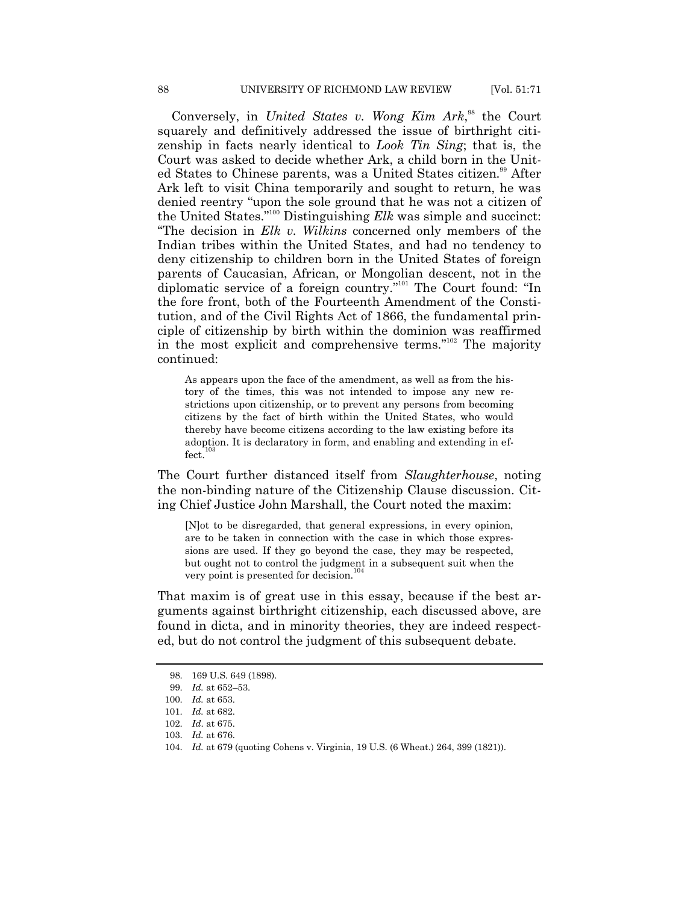Conversely, in *United States v. Wong Kim Ark*<sup>38</sup>, the Court squarely and definitively addressed the issue of birthright citizenship in facts nearly identical to *Look Tin Sing*; that is, the Court was asked to decide whether Ark, a child born in the United States to Chinese parents, was a United States citizen.<sup>99</sup> After Ark left to visit China temporarily and sought to return, he was denied reentry "upon the sole ground that he was not a citizen of the United States."<sup>100</sup> Distinguishing *Elk* was simple and succinct: ―The decision in *Elk v. Wilkins* concerned only members of the Indian tribes within the United States, and had no tendency to deny citizenship to children born in the United States of foreign parents of Caucasian, African, or Mongolian descent, not in the diplomatic service of a foreign country.<sup>"101</sup> The Court found: "In the fore front, both of the Fourteenth Amendment of the Constitution, and of the Civil Rights Act of 1866, the fundamental principle of citizenship by birth within the dominion was reaffirmed in the most explicit and comprehensive terms."<sup>102</sup> The majority continued:

As appears upon the face of the amendment, as well as from the history of the times, this was not intended to impose any new restrictions upon citizenship, or to prevent any persons from becoming citizens by the fact of birth within the United States, who would thereby have become citizens according to the law existing before its adoption. It is declaratory in form, and enabling and extending in effect.

The Court further distanced itself from *Slaughterhouse*, noting the non-binding nature of the Citizenship Clause discussion. Citing Chief Justice John Marshall, the Court noted the maxim:

[N]ot to be disregarded, that general expressions, in every opinion, are to be taken in connection with the case in which those expressions are used. If they go beyond the case, they may be respected, but ought not to control the judgment in a subsequent suit when the very point is presented for decision.<sup>104</sup>

That maxim is of great use in this essay, because if the best arguments against birthright citizenship, each discussed above, are found in dicta, and in minority theories, they are indeed respected, but do not control the judgment of this subsequent debate.

<sup>98.</sup> 169 U.S. 649 (1898).

<sup>99.</sup> *Id.* at 652–53.

<sup>100.</sup> *Id.* at 653.

<sup>101.</sup> *Id.* at 682.

<sup>102.</sup> *Id*. at 675.

<sup>103.</sup> *Id.* at 676.

<sup>104.</sup> *Id.* at 679 (quoting Cohens v. Virginia, 19 U.S. (6 Wheat.) 264, 399 (1821)).